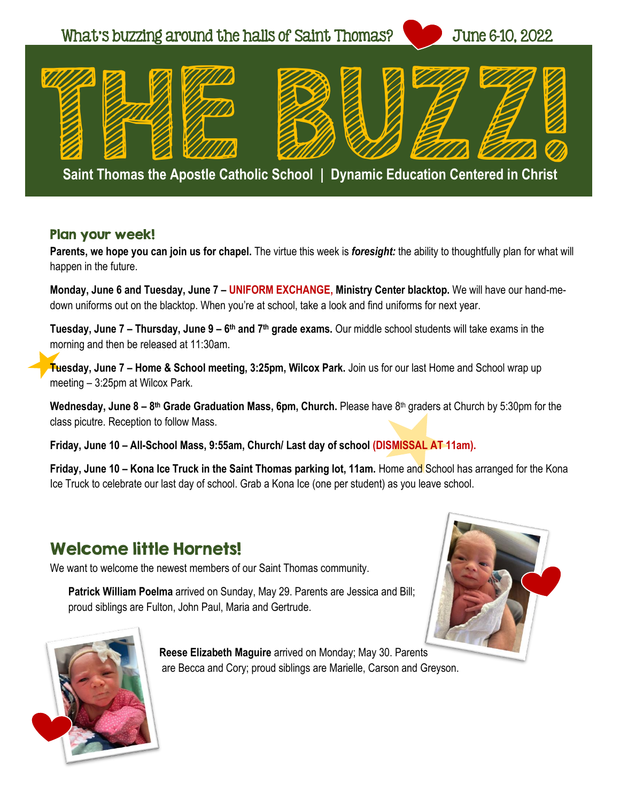

**Saint Thomas the Apostle Catholic School | Dynamic Education Centered in Christ** 

#### Plan your week!

**Parents, we hope you can join us for chapel.** The virtue this week is *foresight:* the ability to thoughtfully plan for what will happen in the future.

**Monday, June 6 and Tuesday, June 7 – UNIFORM EXCHANGE, Ministry Center blacktop.** We will have our hand-medown uniforms out on the blacktop. When you're at school, take a look and find uniforms for next year.

**Tuesday, June 7 – Thursday, June 9 – 6<sup>th</sup> and 7<sup>th</sup> grade exams. Our middle school students will take exams in the** morning and then be released at 11:30am.

**Tuesday, June 7 – Home & School meeting, 3:25pm, Wilcox Park.** Join us for our last Home and School wrap up meeting – 3:25pm at Wilcox Park.

Wednesday, June 8 – 8<sup>th</sup> Grade Graduation Mass, 6pm, Church. Please have 8<sup>th</sup> graders at Church by 5:30pm for the class picutre. Reception to follow Mass.

**Friday, June 10 – All-School Mass, 9:55am, Church/ Last day of school (DISMISSAL AT 11am).** 

**Friday, June 10 – Kona Ice Truck in the Saint Thomas parking lot, 11am.** Home and School has arranged for the Kona Ice Truck to celebrate our last day of school. Grab a Kona Ice (one per student) as you leave school.

#### Welcome little Hornets!

We want to welcome the newest members of our Saint Thomas community.

**Patrick William Poelma** arrived on Sunday, May 29. Parents are Jessica and Bill; proud siblings are Fulton, John Paul, Maria and Gertrude.





**Reese Elizabeth Maguire** arrived on Monday; May 30. Parents are Becca and Cory; proud siblings are Marielle, Carson and Greyson.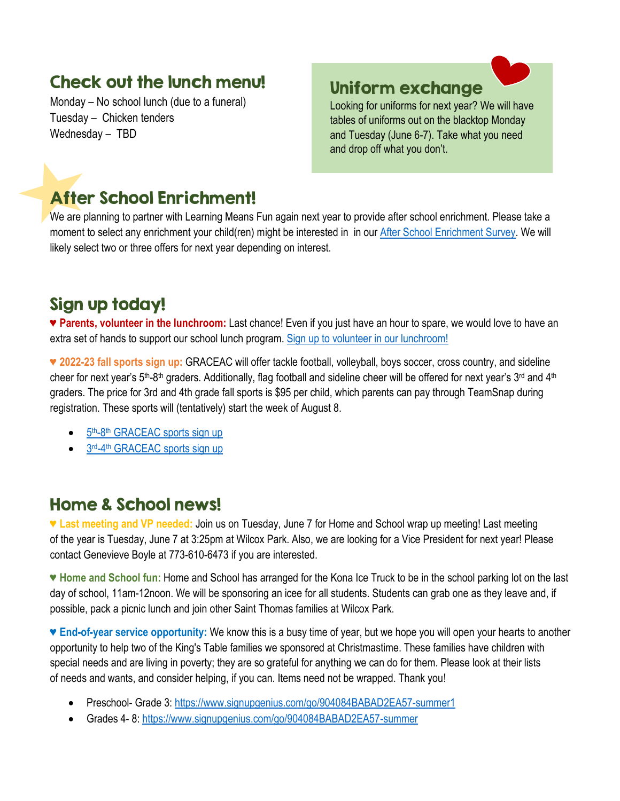#### Check out the lunch menu!

Monday – No school lunch (due to a funeral) Tuesday – Chicken tenders Wednesday – TBD

#### Uniform exchange

Looking for uniforms for next year? We will have tables of uniforms out on the blacktop Monday and Tuesday (June 6-7). Take what you need and drop off what you don't.

# After School Enrichment!

We are planning to partner with Learning Means Fun again next year to provide after school enrichment. Please take a moment to select any enrichment your child(ren) might be interested in in our [After School Enrichment Survey.](https://docs.google.com/forms/d/e/1FAIpQLSff8x6i8UmZAqF-Q8IvId1yrsTjyBW_DjrsT-BGop6lGVTB7w/viewform) We will likely select two or three offers for next year depending on interest.

### Sign up today!

♥ **Parents, volunteer in the lunchroom:** Last chance! Even if you just have an hour to spare, we would love to have an extra set of hands to support our school lunch program. [Sign up to volunteer in our lunchroom!](https://www.signupgenius.com/go/10c0f49aca72caaf4c16-lunchroom)

**♥ 2022-23 fall sports sign up:** GRACEAC will offer tackle football, volleyball, boys soccer, cross country, and sideline cheer for next year's 5<sup>th</sup>-8<sup>th</sup> graders. Additionally, flag football and sideline cheer will be offered for next year's 3<sup>rd</sup> and 4<sup>th</sup> graders. The price for 3rd and 4th grade fall sports is \$95 per child, which parents can pay through TeamSnap during registration. These sports will (tentatively) start the week of August 8.

- 5<sup>th</sup>-8<sup>th</sup> [GRACEAC sports sign up](https://go.teamsnap.com/forms/314220)
- 3rd-4<sup>th</sup> [GRACEAC sports sign up](https://go.teamsnap.com/forms/314224)

#### Home & School news!

**♥ Last meeting and VP needed:** Join us on Tuesday, June 7 for Home and School wrap up meeting! Last meeting of the year is Tuesday, June 7 at 3:25pm at Wilcox Park. Also, we are looking for a Vice President for next year! Please contact Genevieve Boyle at 773-610-6473 if you are interested.

**♥ Home and School fun:** Home and School has arranged for the Kona Ice Truck to be in the school parking lot on the last day of school, 11am-12noon. We will be sponsoring an icee for all students. Students can grab one as they leave and, if possible, pack a picnic lunch and join other Saint Thomas families at Wilcox Park.

♥ **End-of-year service opportunity:** We know this is a busy time of year, but we hope you will open your hearts to another opportunity to help two of the King's Table families we sponsored at Christmastime. These families have children with special needs and are living in poverty; they are so grateful for anything we can do for them. Please look at their lists of needs and wants, and consider helping, if you can. Items need not be wrapped. Thank you!

- Preschool- Grade 3[: https://www.signupgenius.com/go/904084BABAD2EA57-summer1](https://www.signupgenius.com/go/904084BABAD2EA57-summer1)
- Grades 4- 8[: https://www.signupgenius.com/go/904084BABAD2EA57-summer](https://www.signupgenius.com/go/904084BABAD2EA57-summer)